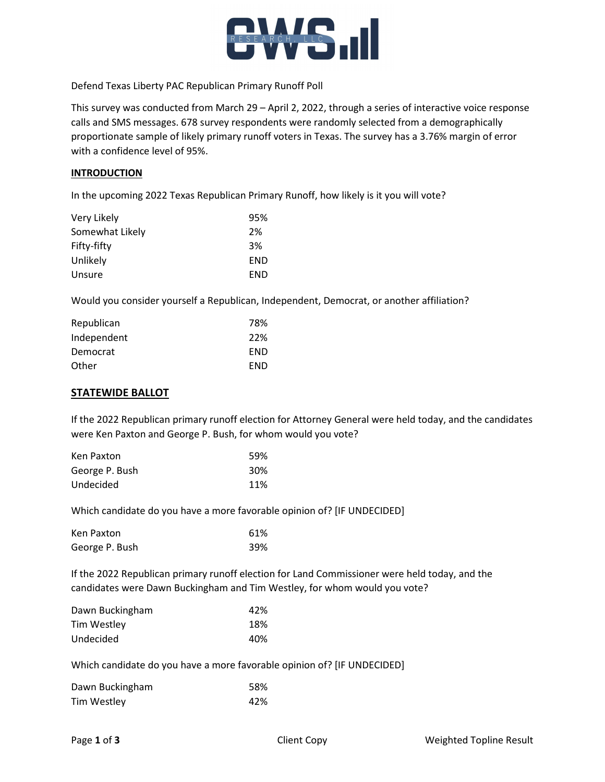

Defend Texas Liberty PAC Republican Primary Runoff Poll

This survey was conducted from March 29 – April 2, 2022, through a series of interactive voice response calls and SMS messages. 678 survey respondents were randomly selected from a demographically proportionate sample of likely primary runoff voters in Texas. The survey has a 3.76% margin of error with a confidence level of 95%.

#### **INTRODUCTION**

In the upcoming 2022 Texas Republican Primary Runoff, how likely is it you will vote?

| 95% |
|-----|
| 2%  |
| 3%  |
| END |
| END |
|     |

Would you consider yourself a Republican, Independent, Democrat, or another affiliation?

| Republican  | 78%        |
|-------------|------------|
| Independent | 22%        |
| Democrat    | <b>FND</b> |
| Other       | <b>FND</b> |

### STATEWIDE BALLOT

If the 2022 Republican primary runoff election for Attorney General were held today, and the candidates were Ken Paxton and George P. Bush, for whom would you vote?

| Ken Paxton     | 59%             |
|----------------|-----------------|
| George P. Bush | 30 <sup>%</sup> |
| Undecided      | 11%             |

Which candidate do you have a more favorable opinion of? [IF UNDECIDED]

| Ken Paxton     | 61% |
|----------------|-----|
| George P. Bush | 39% |

If the 2022 Republican primary runoff election for Land Commissioner were held today, and the candidates were Dawn Buckingham and Tim Westley, for whom would you vote?

| Dawn Buckingham | 42% |
|-----------------|-----|
| Tim Westley     | 18% |
| Undecided       | 40% |

Which candidate do you have a more favorable opinion of? [IF UNDECIDED]

| Dawn Buckingham | 58% |
|-----------------|-----|
| Tim Westley     | 42% |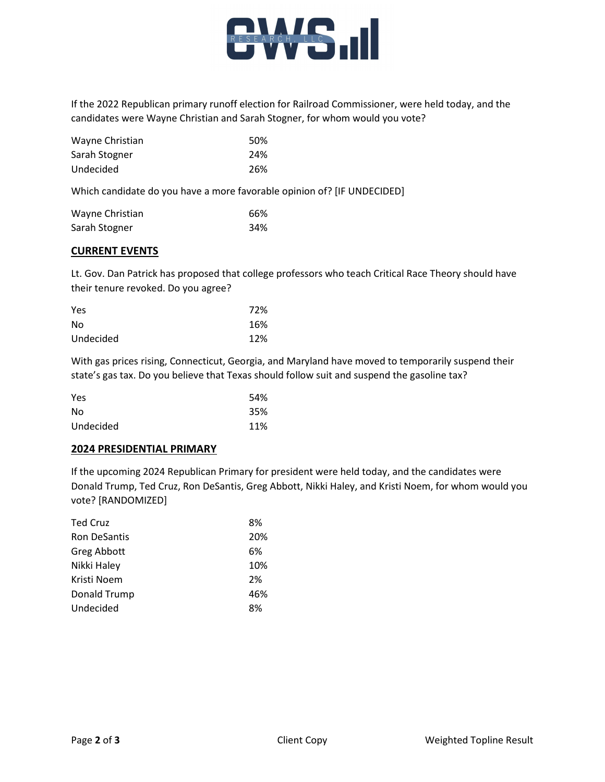

If the 2022 Republican primary runoff election for Railroad Commissioner, were held today, and the candidates were Wayne Christian and Sarah Stogner, for whom would you vote?

| Wayne Christian | .50% |
|-----------------|------|
| Sarah Stogner   | 24%  |
| Undecided       | 26%  |

Which candidate do you have a more favorable opinion of? [IF UNDECIDED]

| Wayne Christian | 66% |
|-----------------|-----|
| Sarah Stogner   | 34% |

# CURRENT EVENTS

Lt. Gov. Dan Patrick has proposed that college professors who teach Critical Race Theory should have their tenure revoked. Do you agree?

| Yes       | 72% |
|-----------|-----|
| No        | 16% |
| Undecided | 12% |

With gas prices rising, Connecticut, Georgia, and Maryland have moved to temporarily suspend their state's gas tax. Do you believe that Texas should follow suit and suspend the gasoline tax?

| Yes       | 54% |
|-----------|-----|
| No        | 35% |
| Undecided | 11% |

## 2024 PRESIDENTIAL PRIMARY

If the upcoming 2024 Republican Primary for president were held today, and the candidates were Donald Trump, Ted Cruz, Ron DeSantis, Greg Abbott, Nikki Haley, and Kristi Noem, for whom would you vote? [RANDOMIZED]

| <b>Ted Cruz</b>     | 8%  |
|---------------------|-----|
| <b>Ron DeSantis</b> | 20% |
| Greg Abbott         | 6%  |
| Nikki Haley         | 10% |
| Kristi Noem         | 2%  |
| Donald Trump        | 46% |
| Undecided           | 8%  |